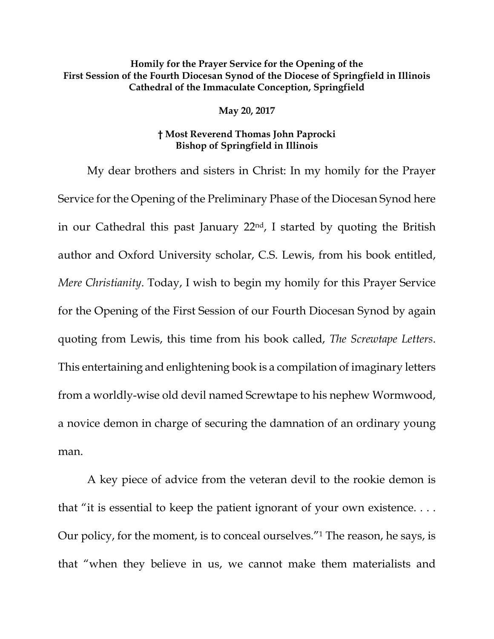## **Homily for the Prayer Service for the Opening of the First Session of the Fourth Diocesan Synod of the Diocese of Springfield in Illinois Cathedral of the Immaculate Conception, Springfield**

## **May 20, 2017**

## **† Most Reverend Thomas John Paprocki Bishop of Springfield in Illinois**

My dear brothers and sisters in Christ: In my homily for the Prayer Service for the Opening of the Preliminary Phase of the Diocesan Synod here in our Cathedral this past January 22nd, I started by quoting the British author and Oxford University scholar, C.S. Lewis, from his book entitled, *Mere Christianity*. Today, I wish to begin my homily for this Prayer Service for the Opening of the First Session of our Fourth Diocesan Synod by again quoting from Lewis, this time from his book called, *The Screwtape Letters*. This entertaining and enlightening book is a compilation of imaginary letters from a worldly-wise old devil named Screwtape to his nephew Wormwood, a novice demon in charge of securing the damnation of an ordinary young man.

A key piece of advice from the veteran devil to the rookie demon is that "it is essential to keep the patient ignorant of your own existence. . . . Our policy, for the moment, is to conceal ourselves."<sup>1</sup> The reason, he says, is that "when they believe in us, we cannot make them materialists and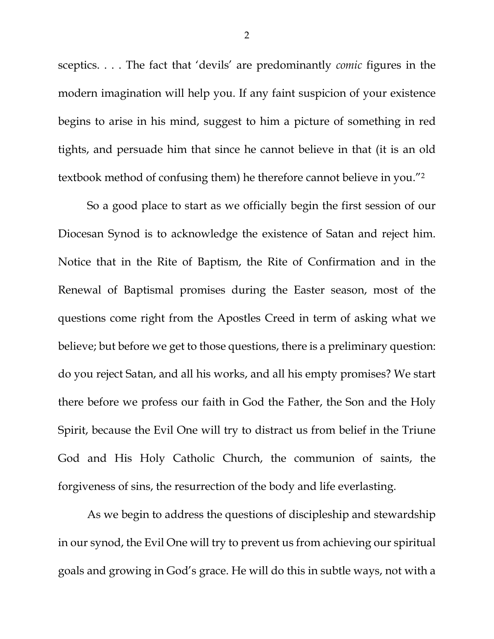sceptics. . . . The fact that 'devils' are predominantly *comic* figures in the modern imagination will help you. If any faint suspicion of your existence begins to arise in his mind, suggest to him a picture of something in red tights, and persuade him that since he cannot believe in that (it is an old textbook method of confusing them) he therefore cannot believe in you."<sup>2</sup>

So a good place to start as we officially begin the first session of our Diocesan Synod is to acknowledge the existence of Satan and reject him. Notice that in the Rite of Baptism, the Rite of Confirmation and in the Renewal of Baptismal promises during the Easter season, most of the questions come right from the Apostles Creed in term of asking what we believe; but before we get to those questions, there is a preliminary question: do you reject Satan, and all his works, and all his empty promises? We start there before we profess our faith in God the Father, the Son and the Holy Spirit, because the Evil One will try to distract us from belief in the Triune God and His Holy Catholic Church, the communion of saints, the forgiveness of sins, the resurrection of the body and life everlasting.

As we begin to address the questions of discipleship and stewardship in our synod, the Evil One will try to prevent us from achieving our spiritual goals and growing in God's grace. He will do this in subtle ways, not with a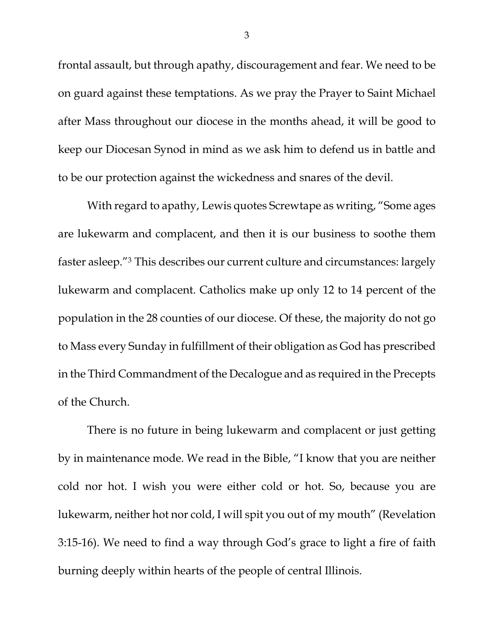frontal assault, but through apathy, discouragement and fear. We need to be on guard against these temptations. As we pray the Prayer to Saint Michael after Mass throughout our diocese in the months ahead, it will be good to keep our Diocesan Synod in mind as we ask him to defend us in battle and to be our protection against the wickedness and snares of the devil.

With regard to apathy, Lewis quotes Screwtape as writing, "Some ages are lukewarm and complacent, and then it is our business to soothe them faster asleep."<sup>3</sup> This describes our current culture and circumstances: largely lukewarm and complacent. Catholics make up only 12 to 14 percent of the population in the 28 counties of our diocese. Of these, the majority do not go to Mass every Sunday in fulfillment of their obligation as God has prescribed in the Third Commandment of the Decalogue and as required in the Precepts of the Church.

There is no future in being lukewarm and complacent or just getting by in maintenance mode. We read in the Bible, "I know that you are neither cold nor hot. I wish you were either cold or hot. So, because you are lukewarm, neither hot nor cold, I will spit you out of my mouth" (Revelation 3:15-16). We need to find a way through God's grace to light a fire of faith burning deeply within hearts of the people of central Illinois.

3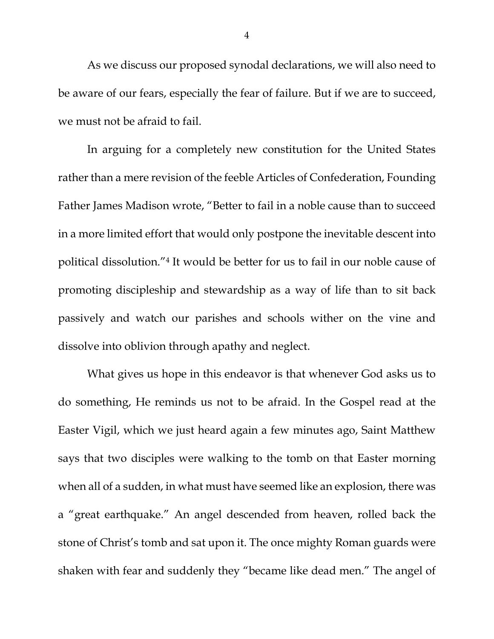As we discuss our proposed synodal declarations, we will also need to be aware of our fears, especially the fear of failure. But if we are to succeed, we must not be afraid to fail.

In arguing for a completely new constitution for the United States rather than a mere revision of the feeble Articles of Confederation, Founding Father James Madison wrote, "Better to fail in a noble cause than to succeed in a more limited effort that would only postpone the inevitable descent into political dissolution."<sup>4</sup> It would be better for us to fail in our noble cause of promoting discipleship and stewardship as a way of life than to sit back passively and watch our parishes and schools wither on the vine and dissolve into oblivion through apathy and neglect.

What gives us hope in this endeavor is that whenever God asks us to do something, He reminds us not to be afraid. In the Gospel read at the Easter Vigil, which we just heard again a few minutes ago, Saint Matthew says that two disciples were walking to the tomb on that Easter morning when all of a sudden, in what must have seemed like an explosion, there was a "great earthquake." An angel descended from heaven, rolled back the stone of Christ's tomb and sat upon it. The once mighty Roman guards were shaken with fear and suddenly they "became like dead men." The angel of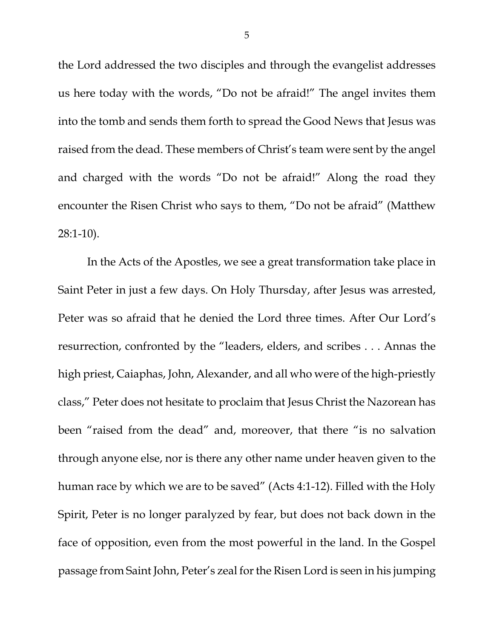the Lord addressed the two disciples and through the evangelist addresses us here today with the words, "Do not be afraid!" The angel invites them into the tomb and sends them forth to spread the Good News that Jesus was raised from the dead. These members of Christ's team were sent by the angel and charged with the words "Do not be afraid!" Along the road they encounter the Risen Christ who says to them, "Do not be afraid" (Matthew 28:1-10).

In the Acts of the Apostles, we see a great transformation take place in Saint Peter in just a few days. On Holy Thursday, after Jesus was arrested, Peter was so afraid that he denied the Lord three times. After Our Lord's resurrection, confronted by the "leaders, elders, and scribes . . . Annas the high priest, Caiaphas, John, Alexander, and all who were of the high-priestly class," Peter does not hesitate to proclaim that Jesus Christ the Nazorean has been "raised from the dead" and, moreover, that there "is no salvation through anyone else, nor is there any other name under heaven given to the human race by which we are to be saved" (Acts 4:1-12). Filled with the Holy Spirit, Peter is no longer paralyzed by fear, but does not back down in the face of opposition, even from the most powerful in the land. In the Gospel passage from Saint John, Peter's zeal forthe Risen Lord is seen in his jumping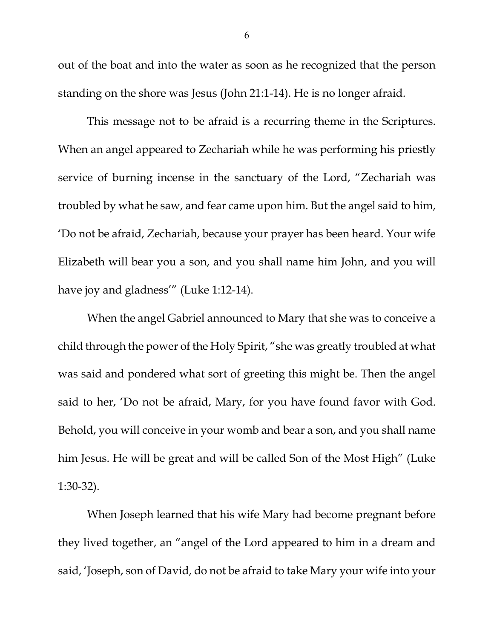out of the boat and into the water as soon as he recognized that the person standing on the shore was Jesus (John 21:1-14). He is no longer afraid.

This message not to be afraid is a recurring theme in the Scriptures. When an angel appeared to Zechariah while he was performing his priestly service of burning incense in the sanctuary of the Lord, "Zechariah was troubled by what he saw, and fear came upon him. But the angel said to him, 'Do not be afraid, Zechariah, because your prayer has been heard. Your wife Elizabeth will bear you a son, and you shall name him John, and you will have joy and gladness'" (Luke 1:12-14).

When the angel Gabriel announced to Mary that she was to conceive a child through the power of the Holy Spirit, "she was greatly troubled at what was said and pondered what sort of greeting this might be. Then the angel said to her, 'Do not be afraid, Mary, for you have found favor with God. Behold, you will conceive in your womb and bear a son, and you shall name him Jesus. He will be great and will be called Son of the Most High" (Luke 1:30-32).

When Joseph learned that his wife Mary had become pregnant before they lived together, an "angel of the Lord appeared to him in a dream and said, 'Joseph, son of David, do not be afraid to take Mary your wife into your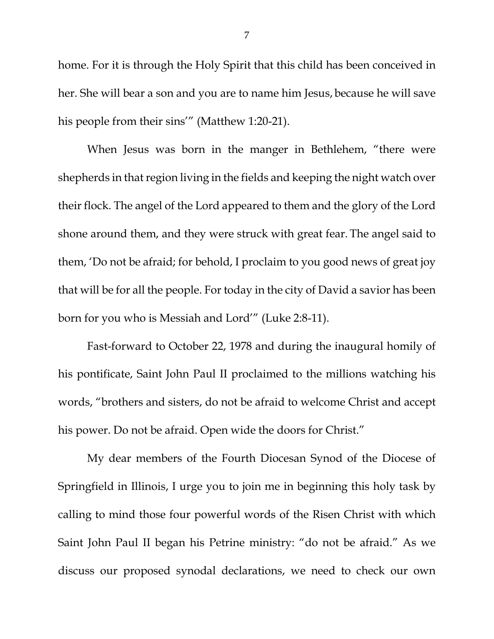home. For it is through the Holy Spirit that this child has been conceived in her. She will bear a son and you are to name him Jesus, because he will save his people from their sins'" (Matthew 1:20-21).

When Jesus was born in the manger in Bethlehem, "there were shepherds in that region living in the fields and keeping the night watch over their flock. The angel of the Lord appeared to them and the glory of the Lord shone around them, and they were struck with great fear. The angel said to them, 'Do not be afraid; for behold, I proclaim to you good news of great joy that will be for all the people. For today in the city of David a savior has been born for you who is Messiah and Lord'" (Luke 2:8-11).

Fast-forward to October 22, 1978 and during the inaugural homily of his pontificate, Saint John Paul II proclaimed to the millions watching his words, "brothers and sisters, do not be afraid to welcome Christ and accept his power. Do not be afraid. Open wide the doors for Christ."

My dear members of the Fourth Diocesan Synod of the Diocese of Springfield in Illinois, I urge you to join me in beginning this holy task by calling to mind those four powerful words of the Risen Christ with which Saint John Paul II began his Petrine ministry: "do not be afraid." As we discuss our proposed synodal declarations, we need to check our own

7